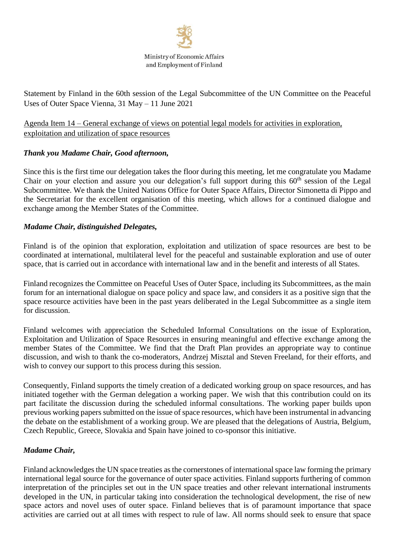

Statement by Finland in the 60th session of the Legal Subcommittee of the UN Committee on the Peaceful Uses of Outer Space Vienna, 31 May – 11 June 2021

## Agenda Item 14 – General exchange of views on potential legal models for activities in exploration, exploitation and utilization of space resources

## *Thank you Madame Chair, Good afternoon,*

Since this is the first time our delegation takes the floor during this meeting, let me congratulate you Madame Chair on your election and assure you our delegation's full support during this 60<sup>th</sup> session of the Legal Subcommittee. We thank the United Nations Office for Outer Space Affairs, Director Simonetta di Pippo and the Secretariat for the excellent organisation of this meeting, which allows for a continued dialogue and exchange among the Member States of the Committee.

## *Madame Chair, distinguished Delegates,*

Finland is of the opinion that exploration, exploitation and utilization of space resources are best to be coordinated at international, multilateral level for the peaceful and sustainable exploration and use of outer space, that is carried out in accordance with international law and in the benefit and interests of all States.

Finland recognizes the Committee on Peaceful Uses of Outer Space, including its Subcommittees, as the main forum for an international dialogue on space policy and space law, and considers it as a positive sign that the space resource activities have been in the past years deliberated in the Legal Subcommittee as a single item for discussion.

Finland welcomes with appreciation the Scheduled Informal Consultations on the issue of Exploration, Exploitation and Utilization of Space Resources in ensuring meaningful and effective exchange among the member States of the Committee. We find that the Draft Plan provides an appropriate way to continue discussion, and wish to thank the co-moderators, Andrzej Misztal and Steven Freeland, for their efforts, and wish to convey our support to this process during this session.

Consequently, Finland supports the timely creation of a dedicated working group on space resources, and has initiated together with the German delegation a working paper. We wish that this contribution could on its part facilitate the discussion during the scheduled informal consultations. The working paper builds upon previous working papers submitted on the issue of space resources, which have been instrumental in advancing the debate on the establishment of a working group. We are pleased that the delegations of Austria, Belgium, Czech Republic, Greece, Slovakia and Spain have joined to co-sponsor this initiative.

## *Madame Chair,*

Finland acknowledges the UN space treaties as the cornerstones of international space law forming the primary international legal source for the governance of outer space activities. Finland supports furthering of common interpretation of the principles set out in the UN space treaties and other relevant international instruments developed in the UN, in particular taking into consideration the technological development, the rise of new space actors and novel uses of outer space. Finland believes that is of paramount importance that space activities are carried out at all times with respect to rule of law. All norms should seek to ensure that space